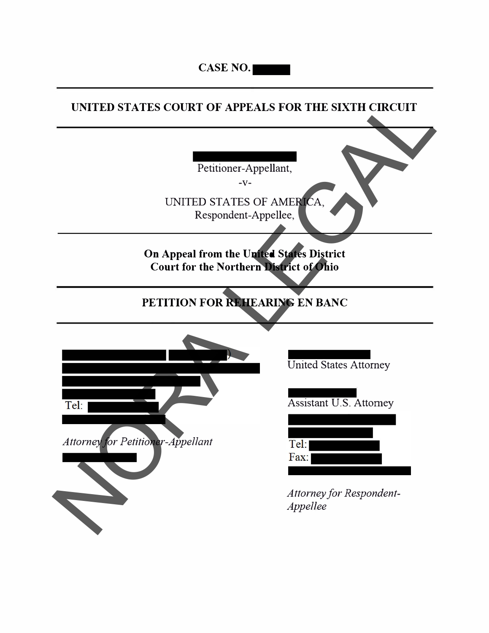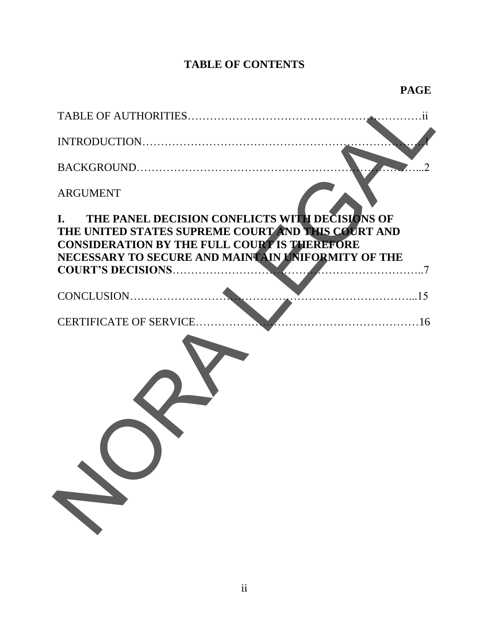## **TABLE OF CONTENTS**

| <b>ARGUMENT</b>                                                                                                                                                                                                         |
|-------------------------------------------------------------------------------------------------------------------------------------------------------------------------------------------------------------------------|
| THE PANEL DECISION CONFLICTS WITH DECISIONS OF<br>L.<br>THE UNITED STATES SUPREME COURT AND THIS COURT AND<br><b>CONSIDERATION BY THE FULL COURT IS THEREFORE</b><br>NECESSARY TO SECURE AND MAINTAIN UNIFORMITY OF THE |
| <b>COURT'S DECISIONS</b>                                                                                                                                                                                                |
|                                                                                                                                                                                                                         |
| CERTIFICATE OF SERVICE                                                                                                                                                                                                  |
|                                                                                                                                                                                                                         |
|                                                                                                                                                                                                                         |
|                                                                                                                                                                                                                         |
|                                                                                                                                                                                                                         |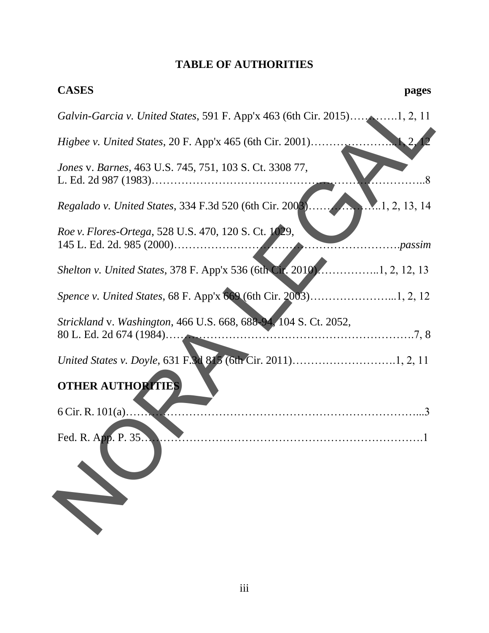## **TABLE OF AUTHORITIES**

| <b>CASES</b>                                                                          | pages |
|---------------------------------------------------------------------------------------|-------|
|                                                                                       |       |
| <i>Higbee v. United States, 20 F. App'x 465 (6th Cir. 2001)</i>                       |       |
| Jones v. Barnes, 463 U.S. 745, 751, 103 S. Ct. 3308 77,                               |       |
| Regalado v. United States, 334 F.3d 520 (6th Cir. 2003)<br>$\mathbf{M}$ .1, 2, 13, 14 |       |
| Roe v. Flores-Ortega, 528 U.S. 470, 120 S. Ct. 1029,                                  |       |
| Shelton v. United States, 378 F. App'x 536 (6th Cir. 2010)1, 2, 12, 13                |       |
|                                                                                       |       |
| Strickland v. Washington, 466 U.S. 668, 688-94, 104 S. Ct. 2052,                      |       |
|                                                                                       |       |
| <b>OTHER AUTHORITIES</b>                                                              |       |
|                                                                                       |       |
| Fed. R. App. P. 35                                                                    |       |
|                                                                                       |       |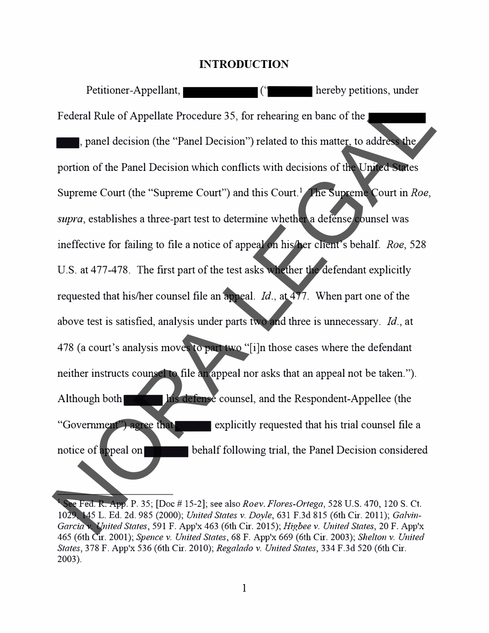#### **INTRODUCTION**

Petitioner-Appellant,  $($ <sup>-</sup> hereby petitions, under Federal Rule of Appellate Procedure 35, for rehearing en bane of the **1.** panel decision (the "Panel Decision") related to this matter, to address the portion of the Panel Decision which conflicts with decisions of the United States Supreme Court (the "Supreme Court") and this Court.<sup>1</sup> The Supreme Court in *Roe*, *supra,* establishes a three-part test to determine whether a defense counsel was ineffective for failing to file a notice of appeal on his/her client's behalf. *Roe,* 528 U.S. at 477-478. The first part of the test asks whether the defendant explicitly requested that his/her counsel file an appeal. *Id.,* at 477. When part one of the above test is satisfied, analysis under parts two and three is unnecessary. *Id.,* at 478 (a court's analysis moves to part two "[i]n those cases where the defendant neither instructs counsel to file an appeal nor asks that an appeal not be taken."). Although both his defense counsel, and the Respondent-Appellee (the "Government") agree that explicitly requested that his trial counsel file a notice of appeal on-behalf following trial, the Panel Decision considered Federal Rule of Appellate Procedure 35, for rehearing en bane of the<br>
period Rule of Appellate Procedure 35, for rehearing en bane of the<br>
period of the Panel Decision which conflicts with decisions of the United States<br>

<sup>1</sup>See Fed. R. App. P. 35; [Doc# 15-2]; see also *Roev. Flores-Ortega,* 528 U.S. 470, 120 S. Ct. 1029, 145 L. Ed. 2d. 985 (2000); *United States v. Doyle,* 631 F.3d 815 (6th Cir. 2011); *Galvin-Garcia v. United States,* 591 F. App'x 463 (6th Cir. 2015); *Higbee v. United States,* 20 F. App'x 465 (6th Cir. 2001); *Spence v. United States,* 68 F. App'x 669 (6th Cir. 2003); *Shelton v. United States,* 378 F. App'x 536 (6th Cir. 2010); *Regalado v. United States,* 334 F.3d 520 (6th Cir. 2003).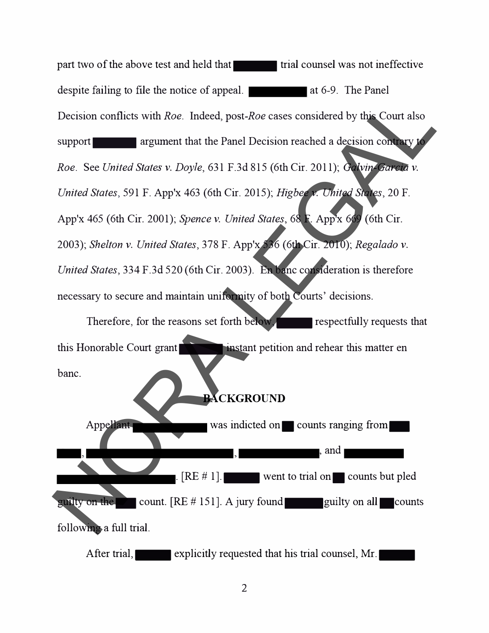part two of the above test and held that trial counsel was not ineffective despite failing to file the notice of appeal. **All the same is a** 46-9. The Panel Decision conflicts with *Roe.* Indeed, *post-Roe* cases considered by this Court also support<br>argument that the Panel Decision reached a decision contrary to *Roe.* See *United States v. Doyle,* 631 F .3d 815 ( 6th Cir. 2011 ); *Galvin-Garcia v. United States,* 591 F. App'x 463 (6th Cir. 2015); *Higbee v. United States,* 20 F. App'x 465 (6th Cir. 2001); *Spence v. United States,* 68 F. App'x 669 (6th Cir. 2003); *Shelton v. United States,* 378 F. App'x 536 (6th Cir. 2010); *Regalado v. United States,* 334 F.3d 520 (6th Cir. 2003). En bane consideration is therefore necessary to secure and maintain uniformity of both Courts' decisions. Decision conflicts with Roe. Indeed, post-Roe cases considered by this Court also<br>support any ampument that the Panel Decision reached a decision convey<br>Roe. See United States v. Doyle, 631 F.3d 815 (6th Cir. 2011); Color

Therefore, for the reasons set forth below, respectfully requests that this Honorable Court grant bane.

### **BACKGROUND**

Appellant was indicted on. counts ranging from , and  $[RE # 1]$ . went to trial on. counts but pled guilty on the count.  $[RE # 151]$ . A jury found guilty on all. counts following a full trial.

After trial, explicitly requested that his trial counsel, Mr.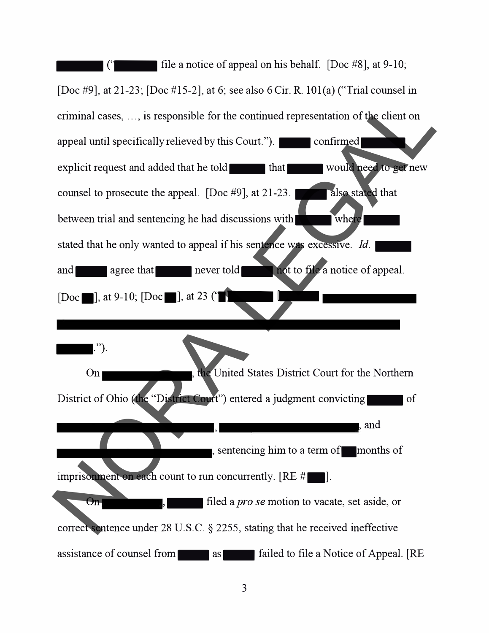

3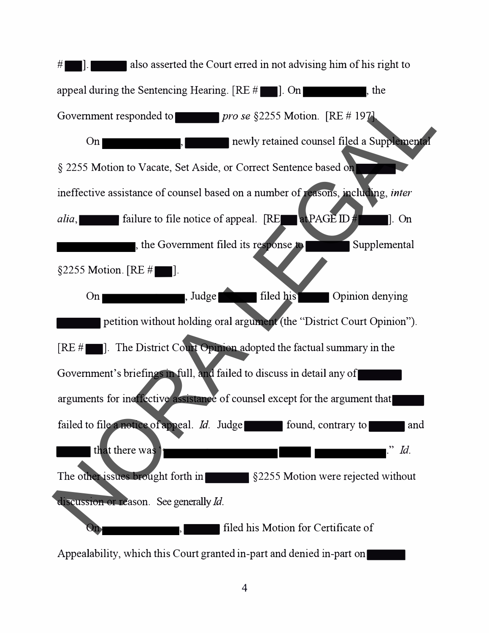$\#$  . also asserted the Court erred in not advising him of his right to appeal during the Sentencing Hearing.  $[RE \# \blacksquare]$ . On , the Government responded to *pro se* §2255 Motion. [RE # 197]. On **Conflict Conflict Conflict Conflict Conflict Conflict Conflict Conflict Conflict Conflict Conflict Conflict Conflict Conflict Conflict Conflict Conflict Conflict Conflict Conflict Conflict Conflict Conflict Conflict Co** § 2255 Motion to Vacate, Set Aside, or Correct Sentence based onineffective assistance of counsel based on a number of reasons, including, *inter alia,* **Failure to file notice of appeal.** [RE**FALE ID#FILE ID#** [100]. On  $\blacksquare$ , the Government filed its response to  $\blacksquare$  Supplemental §2255 Motion.  $[RE \#]$ On , Judge filed his Opinion denying petition without holding oral argument (the "District Court Opinion").  $[RE #$ . The District Court Opinion adopted the factual summary in the Government's briefings in full, and failed to discuss in detail any ofarguments for ineffective assistance of counsel except for the argument thatfailed to file a notice of appeal. *Id.* Judge found, contrary to and that there was ' that there was<br>The other issues brought forth in S2255 Motion were rejected without discussion or reason. See generally *Id.* Filed his Motion for Certificate of Appealability, which this Court granted in-part and denied in-part on-Government responded to<br>  $\frac{1}{2255}$  Motion to Vacate, Set Aside, or Correct Sentence based on<br>
ineffective assistance of counsel based on a number of **ssons**, including *inter*<br>
and interactive assistance of counsel bas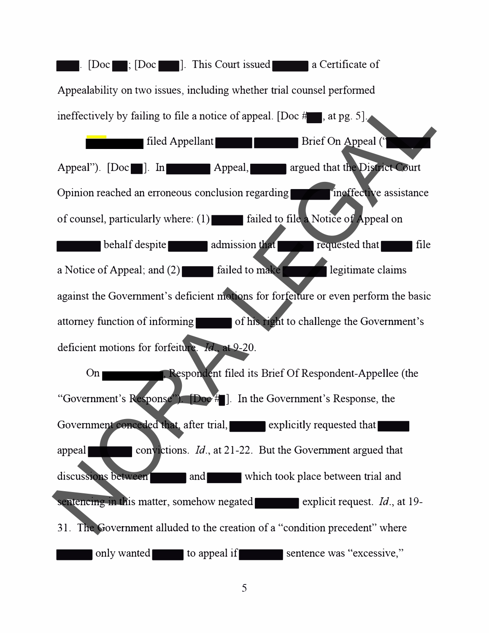**1.** [Doc **111]:** [Doc **111].** This Court issued **a** Certificate of Appealability on two issues, including whether trial counsel performed ineffectively by failing to file a notice of appeal. [Doc  $#$ , at pg. 5]. filed Appellant **Container and Structure Container** Brief On Appeal (<sup>"</sup> Appeal"). [Doc.]. In Appeal, argued that the District Court Opinion reached an erroneous conclusion regarding **the ineffective assistance** of counsel, particularly where:  $(1)$  failed to file a Notice of Appeal on  $\blacksquare$  behalf despite  $\blacksquare$  admission that requested that file a Notice of Appeal; and  $(2)$  failed to make  $\blacksquare$  legitimate claims against the Government's deficient motions for forfeiture or even perform the basic attorney function of informing of his right to challenge the Government's deficient motions for forfeiture. *Id.,* at 9-20. On **Confluent** Respondent filed its Brief Of Respondent-Appellee (the "Government's Response"). [Doc<sup>...]</sup>. In the Government's Response, the Government conceded that, after trial, explicitly requested that appeal<br>convictions. *Id.*, at 21-22. But the Government argued that discussions between and and which took place between trial and sentencing in this matter, somehow negated **explicit request**. *Id.*, at 19-31. The Government alluded to the creation of a "condition precedent" where only wanted to appeal if sentence was "excessive," The Covernment of the state of the state of the state of the state of the state of the state of counsel, particularly where: (1) and appeal and appeal of counsel, particularly where: (1) and failed to file Notice of Appeal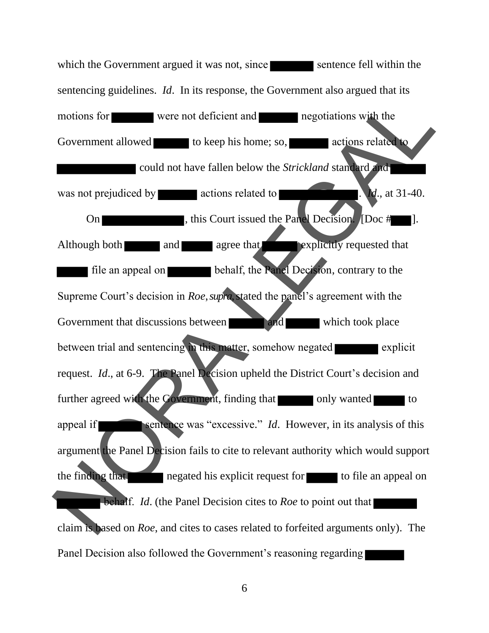which the Government argued it was not, since sentence fell within the sentencing guidelines. *Id*. In its response, the Government also argued that its motions for were not deficient and negotiations with the Government allowed to keep his home; so, actions related to could not have fallen below the *Strickland* standard and was not prejudiced by actions related to . *Id.*, at 31-40. On this Court issued the Panel Decision. [Doc #  $\blacksquare$ ]. Although both and agree that explicitly requested that file an appeal on **behalf**, the Panel Decision, contrary to the Supreme Court's decision in *Roe*, *supra*,stated the panel's agreement with the Government that discussions between **and** and which took place between trial and sentencing in this matter, somehow negated explicit request. *Id*., at 6-9. The Panel Decision upheld the District Court's decision and further agreed with the Government, finding that only wanted to appeal if sentence was "excessive." *Id*. However, in its analysis of this argument the Panel Decision fails to cite to relevant authority which would support the finding that negated his explicit request for  $\blacksquare$  to file an appeal on **behalf.** *Id.* (the Panel Decision cites to *Roe* to point out that claim is based on *Roe*, and cites to cases related to forfeited arguments only). The Panel Decision also followed the Government's reasoning regarding Notions for<br>
Sovernment allowed to keep his home; so, allowed a regoliations with the<br>
could not have fallen below the *Strickland* standard<br>
was not prejudiced by<br>
were not deficient and<br>
was not prejudiced by<br>
actions r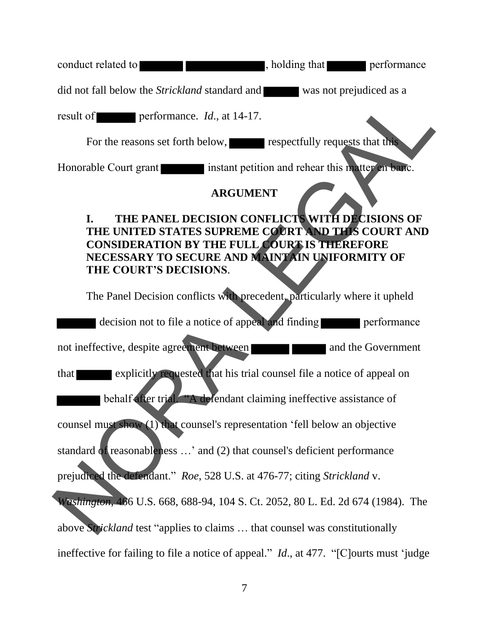conduct related to **the set of the set of the set of the set of the set of the set of the set of the set of the set of the set of the set of the set of the set of the set of the set of the set of the set of the set of the** 

did not fall below the *Strickland* standard and was not prejudiced as a

result of performance. *Id*., at 14-17.

For the reasons set forth below, respectfully requests that this

Honorable Court grant **instant petition and rehear this matter en banc.** 

## **ARGUMENT**

# **I. THE PANEL DECISION CONFLICTS WITH DECISIONS OF THE UNITED STATES SUPREME COURT AND THIS COURT AND CONSIDERATION BY THE FULL COURT IS THEREFORE NECESSARY TO SECURE AND MAINTAIN UNIFORMITY OF THE COURT'S DECISIONS**. THE REAL PROPERTY CONTAINSTAND TO A SUPERINT CONTAINST AND THIS COURT AND THE REFORE<br>
SCUMENT ON CONFLICTS WITH DECISIONS OF<br>
PREME COURT AND THIS COURT AND<br>
E FULL COURT IS THEREFORE<br>
AND MAINTAIN UNIFORMITY OF<br>
S.<br>
THE p

The Panel Decision conflicts with precedent, particularly where it upheld decision not to file a notice of appeal and finding performance not ineffective, despite agreement between that explicitly requested that his trial counsel file a notice of appeal on behalf after trial. "A defendant claiming ineffective assistance of counsel must show (1) that counsel's representation 'fell below an objective standard of reasonableness …' and (2) that counsel's deficient performance prejudiced the defendant." *Roe*, 528 U.S. at 476-77; citing *Strickland* v. *Washington*, 466 U.S. 668, 688-94, 104 S. Ct. 2052, 80 L. Ed. 2d 674 (1984). The above *Strickland* test "applies to claims … that counsel was constitutionally ineffective for failing to file a notice of appeal." *Id*., at 477. "[C]ourts must 'judge decision not to file a notice of appeal a<br>not ineffective, despite agreement between<br>that<br>explicitly requested that his trial<br>counsel must show (1) that counsel's representat<br>standard of reasonableness ...' and (2) that co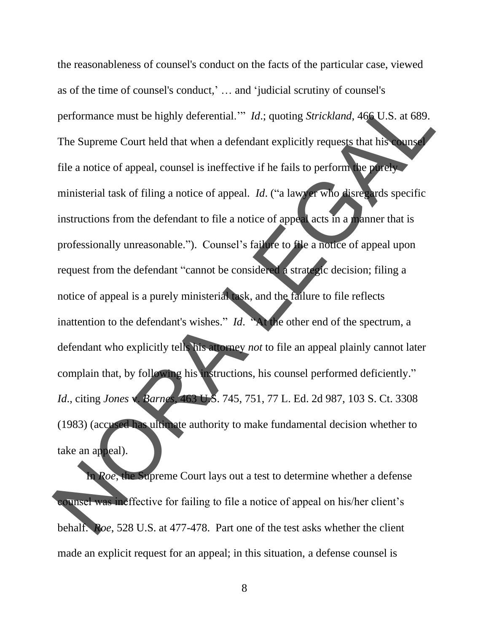the reasonableness of counsel's conduct on the facts of the particular case, viewed as of the time of counsel's conduct,' … and 'judicial scrutiny of counsel's performance must be highly deferential.'" *Id*.; quoting *Strickland*, 466 U.S. at 689. The Supreme Court held that when a defendant explicitly requests that his counsel file a notice of appeal, counsel is ineffective if he fails to perform the purely ministerial task of filing a notice of appeal. *Id*. ("a lawyer who disregards specific instructions from the defendant to file a notice of appeal acts in a manner that is professionally unreasonable."). Counsel's failure to file a notice of appeal upon request from the defendant "cannot be considered a strategic decision; filing a notice of appeal is a purely ministerial task, and the failure to file reflects inattention to the defendant's wishes." *Id*. "At the other end of the spectrum, a defendant who explicitly tells his attorney *not* to file an appeal plainly cannot later complain that, by following his instructions, his counsel performed deficiently." *Id*., citing *Jones* v. *Barnes*, 463 U.S. 745, 751, 77 L. Ed. 2d 987, 103 S. Ct. 3308 (1983) (accused has ultimate authority to make fundamental decision whether to take an appeal). inattention to the defendant's wishes." Id. "At defendant who explicitly tells his attorney not to complain that, by following his instructions, his Id., citing Jones & Barnes, 463 U.S. 745, 751, 7 (1983) (accused has ult In the Junction Strickland, 466 U.S. at 689.<br>
defendant explicitly requests that his counse<br>
ffective if he fails to perform the purely<br>
ppeal. Id. ("a lawyer who disregards specific<br>
e a notice of appeal acts in a manner

In *Roe*, the Supreme Court lays out a test to determine whether a defense counsel was ineffective for failing to file a notice of appeal on his/her client's behalf. *Roe*, 528 U.S. at 477-478. Part one of the test asks whether the client made an explicit request for an appeal; in this situation, a defense counsel is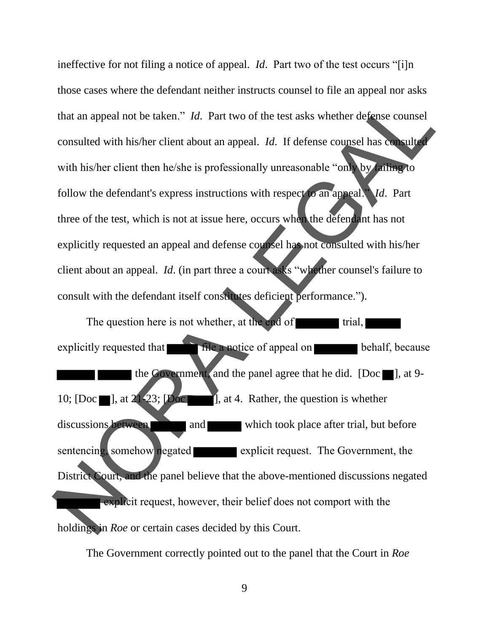ineffective for not filing a notice of appeal. *Id*. Part two of the test occurs "[i]n those cases where the defendant neither instructs counsel to file an appeal nor asks that an appeal not be taken." *Id*. Part two of the test asks whether defense counsel consulted with his/her client about an appeal. *Id*. If defense counsel has consulted with his/her client then he/she is professionally unreasonable "only by failing to follow the defendant's express instructions with respect to an appeal." *Id*. Part three of the test, which is not at issue here, occurs when the defendant has not explicitly requested an appeal and defense counsel has not consulted with his/her client about an appeal. *Id*. (in part three a court asks "whether counsel's failure to consult with the defendant itself constitutes deficient performance."). t two of the test asks whether defense counsel<br>appeal. Id. If defense counsel has consulted<br>essionally unreasonable "only by anting to<br>ctions with respect o an appeal. Id. Part<br>here, occurs when the defendant has not<br>fense

The question here is not whether, at the end of  $\blacksquare$  trial, explicitly requested that **file a notice of appeal on behalf**, because the Government, and the panel agree that he did. [Doc  $\blacksquare$ ], at 9-10; [Doc  $\blacksquare$ ], at 21-23; [Doc  $\blacksquare$ ], at 4. Rather, the question is whether discussions between and which took place after trial, but before sentencing, somehow negated explicit request. The Government, the District Court, and the panel believe that the above-mentioned discussions negated explicit request, however, their belief does not comport with the holdings in *Roe* or certain cases decided by this Court. The question here is not whether, at the explicitly requested that<br>the Covernment, and the panel<br>10; [Doc ], at 2 23; [Doc ], at 4. Rather<br>discussions between and and which<br>sentencing somehow regated explicit<br>District Cour

The Government correctly point ed out to the panel that the Court in *Roe*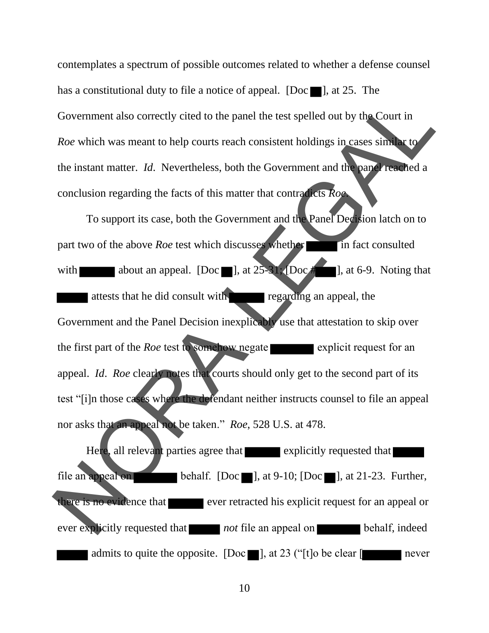contemplates a spectrum of possible outcomes related to whether a defense counsel has a constitutional duty to file a notice of appeal. [Doc  $\blacksquare$ ], at 25. The Government also correctly cited to the panel the test spelled out by the Court in *Roe* which was meant to help courts reach consistent holdings in cases similar to the instant matter. *Id*. Nevertheless, both the Government and the panel reached a conclusion regarding the facts of this matter that contradicts *Roe*.

To support its case, both the Government and the Panel Decision latch on to part two of the above *Roe* test which discusses whether in fact consulted with about an appeal.  $[Doc \nightharpoonup ]$ , at  $25-31$ ;  $[Doc \nightharpoonup ]$ , at 6-9. Noting that attests that he did consult with regarding an appeal, the Government and the Panel Decision inexplicably use that attestation to skip over the first part of the *Roe* test to somehow negate explicit request for an appeal. *Id*. *Roe* clearly notes that courts should only get to the second part of its test "[i]n those cases where the defendant neither instructs counsel to file an appeal nor asks that an appeal not be taken." *Roe*, 528 U.S. at 478. Government and the Panel Decision inexplicable<br>the first part of the *Roe* test to **somehow** negate<br>appeal. *Id. Roe* clearly notes that courts should<br>test "[i]n those cases where the defendant neither<br>nor asks that an ap e panel the test spelled out by the Court in<br>reach consistent holdings in cases similar to<br>both the Government and the panel reached a<br>matter that contradicts Roe<br>overnment and the Panel Decision latch on to<br>discusses whet

Here, all relevant parties agree that explicitly requested that file an appeal on behalf. [Doc  $\blacksquare$ ], at 9-10; [Doc  $\blacksquare$ ], at 21-23. Further, there is no evidence that ever retracted his explicit request for an appeal or ever explicitly requested that *not* file an appeal on behalf, indeed admits to quite the opposite. [Doc  $\blacksquare$ ], at 23 ("[t]o be clear  $\blacksquare$  never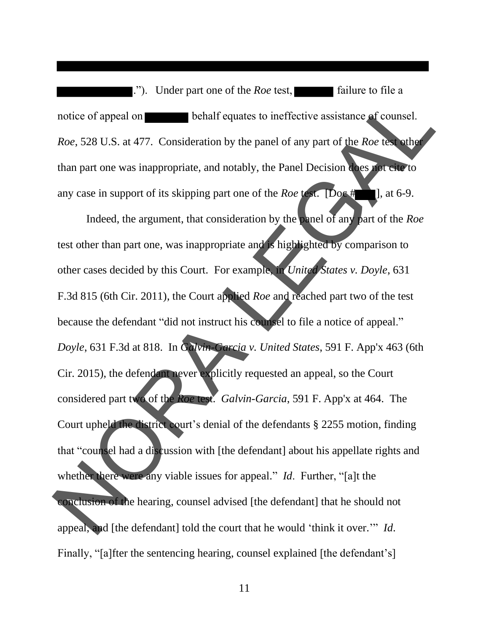."). Under part one of the *Roe* test, **find** failure to file a notice of appeal on behalf equates to ineffective assistance of counsel. *Roe*, 528 U.S. at 477. Consideration by the panel of any part of the *Roe* test other than part one was inappropriate, and notably, the Panel Decision does not cite to any case in support of its skipping part one of the *Roe* test. **Doc** # **1**, at 6-9.

Indeed, the argument, that consideration by the panel of any part of the *Roe* test other than part one, was inappropriate and is highlighted by comparison to other cases decided by this Court. For example, in *United States v. Doyle*, 631 F.3d 815 (6th Cir. 2011), the Court applied *Roe* and reached part two of the test because the defendant "did not instruct his counsel to file a notice of appeal." *Doyle*, 631 F.3d at 818. In *Galvin-Garcia v. United States*, 591 F. App'x 463 (6th Cir. 2015), the defendant never explicitly requested an appeal, so the Court considered part two of the *Roe* test. *Galvin-Garcia*, 591 F. App'x at 464. The Court upheld the district court's denial of the defendants § 2255 motion, finding that "counsel had a discussion with [the defendant] about his appellate rights and whether there were any viable issues for appeal." *Id*. Further, "[a]t the conclusion of the hearing, counsel advised [the defendant] that he should not appeal, and [the defendant] told the court that he would 'think it over.'" *Id*. Finally, "[a]fter the sentencing hearing, counsel explained [the defendant's] because the defendant "did not instruct his com-<br>
Doyle, 631 F.3d at 818. In Galvin-Garcia v. Un<br>
Cir. 2015), the defendant never explicitly reques<br>
considered part two of the Roe test. Galvin-Gar<br>
Court upheld the distric equates to ineffective assistance of counsel.<br>by the panel of any part of the *Roe* test other<br>notably, the Panel Decision does not eiter to<br>art one of the *Roe* test. [Doe #1], at 6-9.<br>sideration by the panel of any part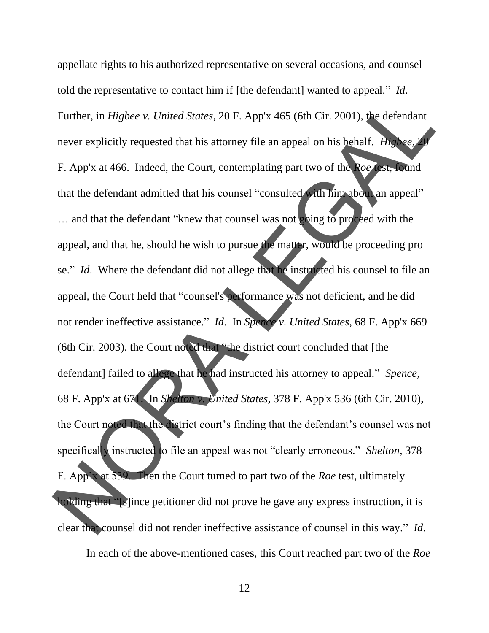appellate rights to his authorized representative on several occasions, and counsel told the representative to contact him if [the defendant] wanted to appeal." *Id*. Further, in *Higbee v. United States*, 20 F. App'x 465 (6th Cir. 2001), the defendant never explicitly requested that his attorney file an appeal on his behalf. *Higbee*, F. App'x at 466. Indeed, the Court, contemplating part two of the *Roe* test, found that the defendant admitted that his counsel "consulted with him about an appeal" ... and that the defendant "knew that counsel was not going to proceed with the appeal, and that he, should he wish to pursue the matter, would be proceeding pro se." *Id*. Where the defendant did not allege that he instructed his counsel to file an appeal, the Court held that "counsel's performance was not deficient, and he did not render ineffective assistance." *Id*. In *Spence v. United States*, 68 F. App'x 669 (6th Cir. 2003), the Court noted that "the district court concluded that [the defendant] failed to allege that he had instructed his attorney to appeal." *Spence*, 68 F. App'x at 671. In *Shelton v. United States*, 378 F. App'x 536 (6th Cir. 2010), the Court noted that the district court's finding that the defendant's counsel was not specifically instructed to file an appeal was not "clearly erroneous." *Shelton*, 378 F. App'x at 539. Then the Court turned to part two of the *Roe* test, ultimately holding that "[s]ince petitioner did not prove he gave any express instruction, it is clear that counsel did not render ineffective assistance of counsel in this way." *Id*. In each of the above -mentioned cases, this Court reached part two of the *Roe* not render ineffective assistance." Id. In Spence<br>
(6th Cir. 2003), the Court noted that "the district<br>
defendant] failed to allege that he had instructed<br>
68 F. App'x at 67. In Shelton v. United States,<br>
the Court noted 20 F. App'x 465 (6th Cir. 2001), the defendant<br>orney file an appeal on his behalf. *Higbee*, 20<br>ontemplating part two of the *Roe* rest, found<br>ounsel "consulted with him about an appeal"<br>counsel "consulted with him about a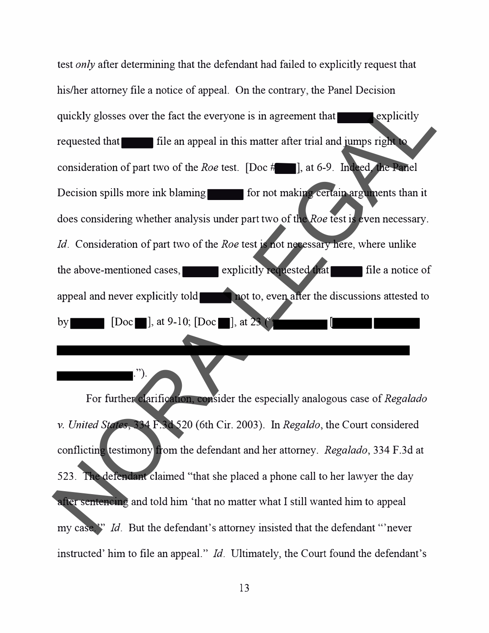test *only* after determining that the defendant had failed to explicitly request that his/her attorney file a notice of appeal. On the contrary, the Panel Decision quickly glosses over the fact the everyone is in agreement that explicitly requested that  $\blacksquare$  file an appeal in this matter after trial and jumps right to consideration of part two of the *Roe* test. [Doc #....], at 6-9. Indeed, the Panel Decision spills more ink blaming-formation of making certain arguments than it does considering whether analysis under part two of the *Roe* test is even necessary. *Id.* Consideration of part two of the *Roe* test is not necessary here, where unlike the above-mentioned cases,  $\blacksquare$  explicitly requested that  $\blacksquare$  file a notice of appeal and never explicitly told-not to, even after the discussions attested to by  $[Doc]$ , at  $9-10$ ;  $[Doc]$ , at  $23$   $[$ by  $\Box$  [Doc $\Box$ ], at 9-10; [Doc $\Box$ ], at 23 The matrix of the state of the state of the state of the state of the state of the state of the state of the state of the state of the state of the state of the state of the state of the state of the state of the state of

For further clarification, consider the especially analogous case of *Regalado*  v. *United States,* 334 F.3d 520 (6th Cir. 2003). In *Regaldo,* the Court considered conflicting testimony from the defendant and her attorney. *Regalado,* 334 F.3d at 523. The defendant claimed "that she placed a phone call to her lawyer the day after sentencing and told him 'that no matter what I still wanted him to appeal my case."<sup>"</sup> *Id.* But the defendant's attorney insisted that the defendant "never" instructed' him to file an appeal." *Id.* Ultimately, the Court found the defendant's

. ").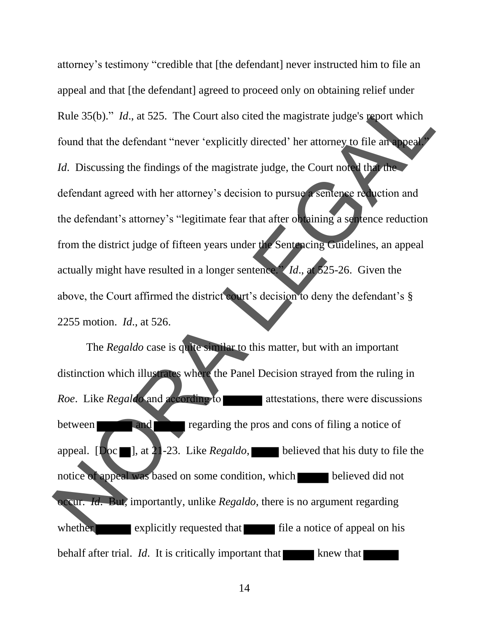attorney's testimony "credible that [the defendant] never instructed him to file an appeal and that [the defendant] agreed to proceed only on obtaining relief under Rule 35(b)." *Id*., at 525. The Court also cited the magistrate judge's report which found that the defendant "never 'explicitly directed' her attorney to file an appeal *Id.* Discussing the findings of the magistrate judge, the Court noted that the defendant agreed with her attorney's decision to pursue a sentence reduction and the defendant's attorney's "legitimate fear that after obtaining a sentence reduction from the district judge of fifteen years under the Sentencing Guidelines, an appeal actually might have resulted in a longer sentence." *Id*., at 525-26. Given the above, the Court affirmed the district court's decision to deny the defendant's § 2255 motion. *Id*., at 526. also cited the magistrate judge's report which<br>licitly directed' her attorney to file an appeal?<br>agistrate judge, the Court noted that the<br>decision to pursue a sentence reduction and<br>e fear that after obtaining a sentence

The *Regaldo* case is quite similar to this matter, but with an important distinction which illustrates where the Panel Decision strayed from the ruling in *Roe.* Like *Regaldo* and according to attestations, there were discussions between **and** regarding the pros and cons of filing a notice of appeal. [Doc  $\blacksquare$ ], at 21-23. Like *Regaldo*, believed that his duty to file the notice of appeal was based on some condition, which believed did not occur. *Id*. But, importantly, unlike *Regaldo*, there is no argument regarding whether explicitly requested that file a notice of appeal on his behalf after trial. *Id*. It is critically important that knew that 2255 motion. *Id.*, at 526.<br>
The *Regaldo* case is quite similar to this not<br>
distinction which illustrates where the Panel Dec<br> *Roe.* Like *Regaldo* and according to at<br>
the property regarding the pros<br>
appeal. [Doc. ],